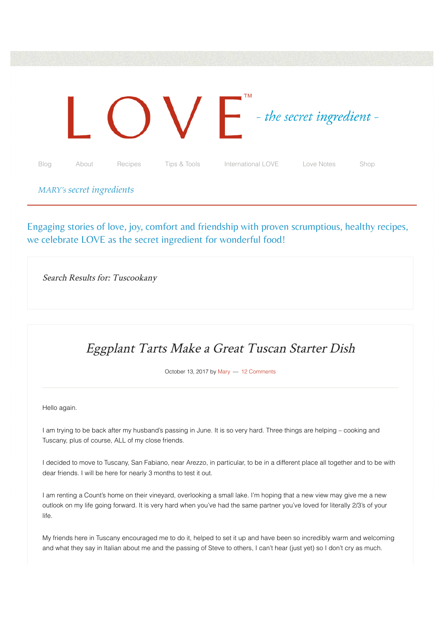

*MARY's secret ingredients*

Engaging stories of love, joy, comfort and friendship with proven scrumptious, healthy recipes, we celebrate LOVE as the secret ingredient for wonderful food!

Search Results for: Tuscookany

Eggplant Tarts Make a Great Tuscan Starter Dish

October 13, 2017 by Mary — 12 Comments

Hello again.

I am trying to be back after my husband's passing in June. It is so very hard. Three things are helping – cooking and Tuscany, plus of course, ALL of my close friends.

I decided to move to Tuscany, San Fabiano, near Arezzo, in particular, to be in a different place all together and to be with dear friends. I will be here for nearly 3 months to test it out.

I am renting a Count's home on their vineyard, overlooking a small lake. I'm hoping that a new view may give me a new outlook on my life going forward. It is very hard when you've had the same partner you've loved for literally 2/3's of your life.

My friends here in Tuscany encouraged me to do it, helped to set it up and have been so incredibly warm and welcoming and what they say in Italian about me and the passing of Steve to others, I can't hear (just yet) so I don't cry as much.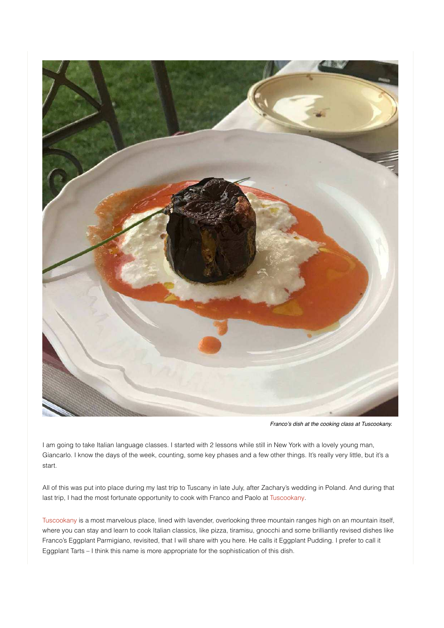

Franco's dish at the cooking class at Tuscookany.

I am going to take Italian language classes. I started with 2 lessons while still in New York with a lovely young man, Giancarlo. I know the days of the week, counting, some key phases and a few other things. It's really very little, but it's a start.

All of this was put into place during my last trip to Tuscany in late July, after Zachary's wedding in Poland. And during that last trip, I had the most fortunate opportunity to cook with Franco and Paolo a[t Tuscookany.](https://tuscookany.com)

[Tuscookany is](https://tuscookany.com) a most marvelous place, lined with lavender, overlooking three mountain ranges high on an mountain itself, where you can stay and learn to cook Italian classics, like pizza, tiramisu, gnocchi and some brilliantly revised dishes like Franco's Eggplant Parmigiano, revisited, that I will share with you here. He calls it Eggplant Pudding. I prefer to call it Eggplant Tarts – I think this name is more appropriate for the sophistication of this dish.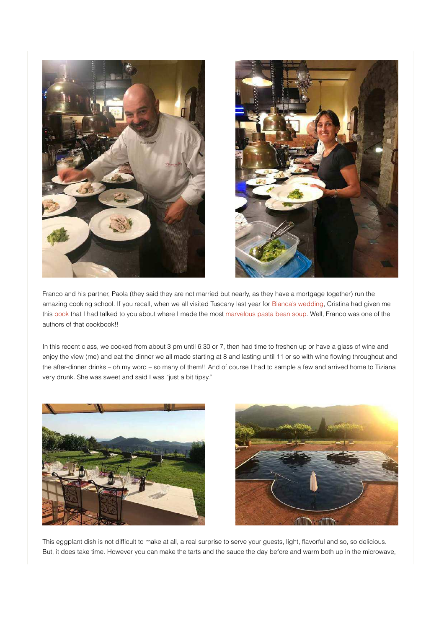



Franco and his partner, Paola (they said they are not married but nearly, as they have a mortgage together) run the amazing cooking school. If you recall, when we all visited Tuscany last year for Bianca's wedding, Cristina had given me this book that I had talked to you about where I made the most marvelous pasta bean soup. Well, Franco was one of the authors of that cookbook!!

In this recent class, we cooked from about 3 pm until 6:30 or 7, then had time to freshen up or have a glass of wine and enjoy the view (me) and eat the dinner we all made starting at 8 and lasting until 11 or so with wine flowing throughout and the after-dinner drinks – oh my word – so many of them!! And of course I had to sample a few and arrived home to Tiziana very drunk. She was sweet and said I was "just a bit tipsy."





This eggplant dish is not difficult to make at all, a real surprise to serve your guests, light, flavorful and so, so delicious. But, it does take time. However you can make the tarts and the sauce the day before and warm both up in the microwave,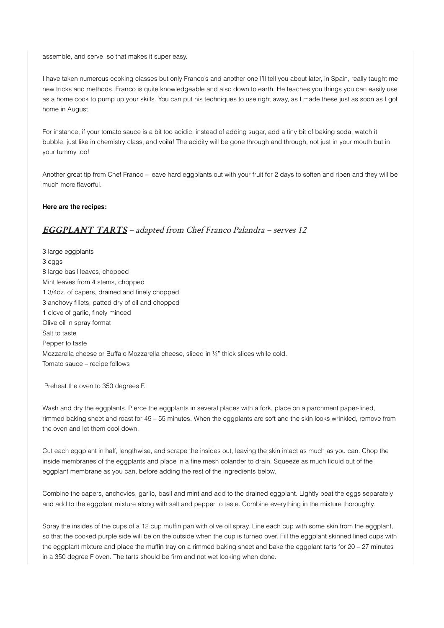assemble, and serve, so that makes it super easy.

I have taken numerous cooking classes but only Franco's and another one I'll tell you about later, in Spain, really taught me new tricks and methods. Franco is quite knowledgeable and also down to earth. He teaches you things you can easily use as a home cook to pump up your skills. You can put his techniques to use right away, as I made these just as soon as I got home in August.

For instance, if your tomato sauce is a bit too acidic, instead of adding sugar, add a tiny bit of baking soda, watch it bubble, just like in chemistry class, and voila! The acidity will be gone through and through, not just in your mouth but in your tummy too!

Another great tip from [Chef Franco](https://tuscookany.com/about-us/chefs/chef-franco-and-his-menus/) – leave hard eggplants out with your fruit for 2 days to soften and ripen and they will be much more flavorful.

## **Here are the recipes:**

## EGGPLANT TARTS – adapted from Chef Franco Palandra – serves 12

3 large eggplants 3 eggs 8 large basil leaves, chopped Mint leaves from 4 stems, chopped 1 3/4oz. of capers, drained and finely chopped 3 anchovy fillets, patted dry of oil and chopped 1 clove of garlic, finely minced [Olive oil](https://tuscookany.com/blog/olive-oil-in-tuscany/) in spray format Salt to taste Pepper to taste [Mozzarella cheese](https://tuscookany.com/blog/the-secrets-of-the-italian-mozzarella-another-cheesy-story/) or Buffalo Mozzarella cheese, sliced in ¼" thick slices while cold. Tomato sauce – recipe follows

Preheat the oven to 350 degrees F.

Wash and dry the eggplants. Pierce the eggplants in several places with a fork, place on a parchment paper-lined, rimmed baking sheet and roast for 45 – 55 minutes. When the eggplants are soft and the skin looks wrinkled, remove from the oven and let them cool down.

Cut each eggplant in half, lengthwise, and scrape the insides out, leaving the skin intact as much as you can. Chop the inside membranes of the eggplants and place in a fine mesh colander to drain. Squeeze as much liquid out of the eggplant membrane as you can, before adding the rest of the ingredients below.

Combine the capers, anchovies, garlic, basil and mint and add to the drained eggplant. Lightly beat the eggs separately and add to the eggplant mixture along with salt and pepper to taste. Combine everything in the mixture thoroughly.

Spray the insides of the cups of a 12 cup muffin pan with olive oil spray. Line each cup with some skin from the eggplant, so that the cooked purple side will be on the outside when the cup is turned over. Fill the eggplant skinned lined cups with the eggplant mixture and place the muffin tray on a rimmed baking sheet and bake the eggplant tarts for 20 – 27 minutes in a 350 degree F oven. The tarts should be firm and not wet looking when done.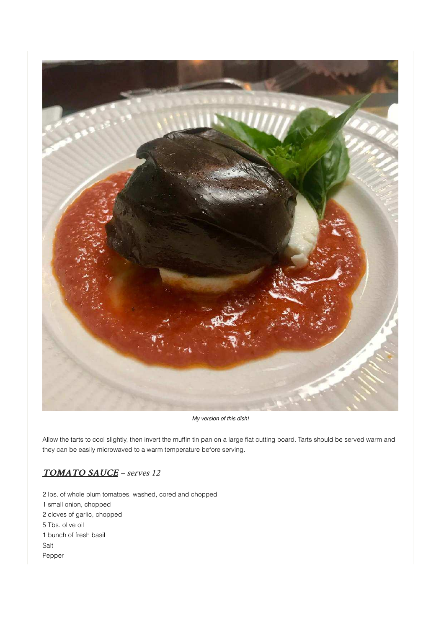

My version of this dish!

Allow the tarts to cool slightly, then invert the muffin tin pan on a large flat cutting board. Tarts should be served warm and they can be easily microwaved to a warm temperature before serving.

## [TOMATO SAUCE](https://tuscookany.com/blog/italians-do-it-with-tomatoes-in-all-different-shapes-and-sizes/) - serves 12

2 lbs. of whole plum tomatoes, washed, cored and chopped 1 small onion, chopped 2 cloves of garlic, chopped 5 Tbs. olive oil 1 bunch of fresh basil Salt Pepper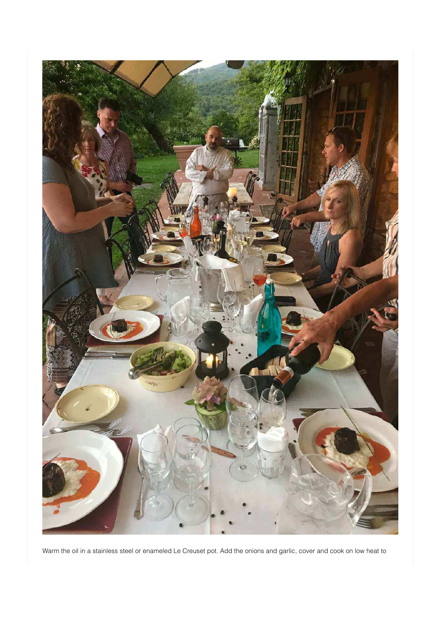

Warm the oil in a stainless steel or enameled Le Creuset pot. Add the onions and garlic, cover and cook on low heat to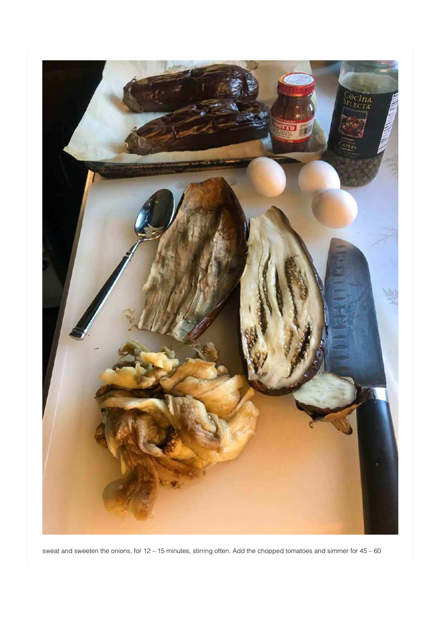

sweat and sweeten the onions, for 12 – 15 minutes, stirring often. Add the chopped tomatoes and simmer for 45 – 60